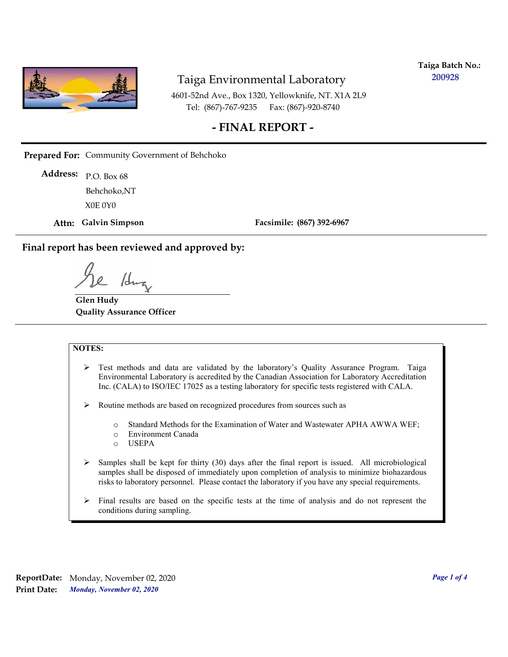

**Taiga Batch No.: 200928**

4601-52nd Ave., Box 1320, Yellowknife, NT. X1A 2L9 Tel: (867)-767-9235 Fax: (867)-920-8740

## **- FINAL REPORT -**

**Prepared For:** Community Government of Behchoko

P.O. Box 68 **Address:** X0E 0Y0 Behchoko,NT

**Attn: Galvin Simpson**

**Facsimile: (867) 392-6967**

**Final report has been reviewed and approved by:**

1dr

**Glen Hudy Quality Assurance Officer**

#### **NOTES:**

- $\triangleright$  Test methods and data are validated by the laboratory's Quality Assurance Program. Taiga Environmental Laboratory is accredited by the Canadian Association for Laboratory Accreditation Inc. (CALA) to ISO/IEC 17025 as a testing laboratory for specific tests registered with CALA.
- Routine methods are based on recognized procedures from sources such as
	- o Standard Methods for the Examination of Water and Wastewater APHA AWWA WEF;
	- o Environment Canada
	- o USEPA
- $\triangleright$  Samples shall be kept for thirty (30) days after the final report is issued. All microbiological samples shall be disposed of immediately upon completion of analysis to minimize biohazardous risks to laboratory personnel. Please contact the laboratory if you have any special requirements.
- $\triangleright$  Final results are based on the specific tests at the time of analysis and do not represent the conditions during sampling.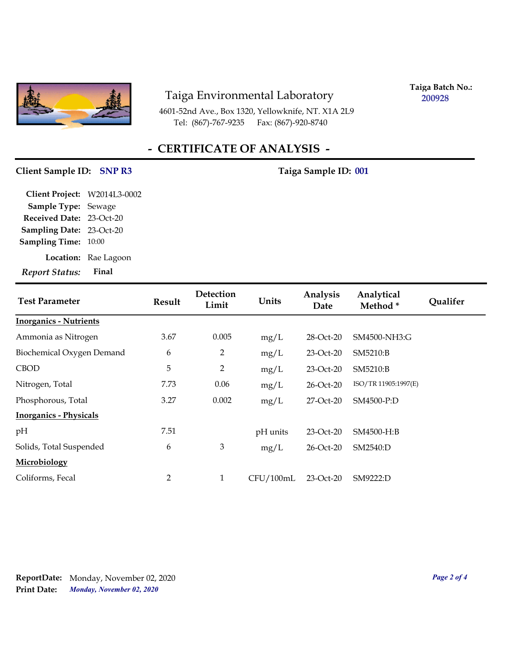

4601-52nd Ave., Box 1320, Yellowknife, NT. X1A 2L9 Tel: (867)-767-9235 Fax: (867)-920-8740

**Taiga Batch No.: 200928**

# **- CERTIFICATE OF ANALYSIS -**

## Client Sample ID: SNP R3 Taiga Sample ID: 001

| Report Status: Final            |                      |
|---------------------------------|----------------------|
|                                 | Location: Rae Lagoon |
| <b>Sampling Time: 10:00</b>     |                      |
| <b>Sampling Date: 23-Oct-20</b> |                      |
| Received Date: 23-Oct-20        |                      |
| Sample Type: Sewage             |                      |
| Client Project: W2014L3-0002    |                      |

| <b>Test Parameter</b>         | <b>Result</b> | Detection<br>Limit | Units     | Analysis<br>Date | Analytical<br>Method* | <b>Oualifer</b> |
|-------------------------------|---------------|--------------------|-----------|------------------|-----------------------|-----------------|
| <b>Inorganics - Nutrients</b> |               |                    |           |                  |                       |                 |
| Ammonia as Nitrogen           | 3.67          | 0.005              | mg/L      | 28-Oct-20        | SM4500-NH3:G          |                 |
| Biochemical Oxygen Demand     | 6             | 2                  | mg/L      | 23-Oct-20        | SM5210:B              |                 |
| <b>CBOD</b>                   | 5             | 2                  | mg/L      | 23-Oct-20        | SM5210:B              |                 |
| Nitrogen, Total               | 7.73          | 0.06               | mg/L      | 26-Oct-20        | ISO/TR 11905:1997(E)  |                 |
| Phosphorous, Total            | 3.27          | 0.002              | mg/L      | 27-Oct-20        | SM4500-P:D            |                 |
| <b>Inorganics - Physicals</b> |               |                    |           |                  |                       |                 |
| pH                            | 7.51          |                    | pH units  | 23-Oct-20        | SM4500-H:B            |                 |
| Solids, Total Suspended       | 6             | $\mathfrak{Z}$     | mg/L      | 26-Oct-20        | SM2540:D              |                 |
| Microbiology                  |               |                    |           |                  |                       |                 |
| Coliforms, Fecal              | 2             | $\mathbf{1}$       | CFU/100mL | 23-Oct-20        | SM9222:D              |                 |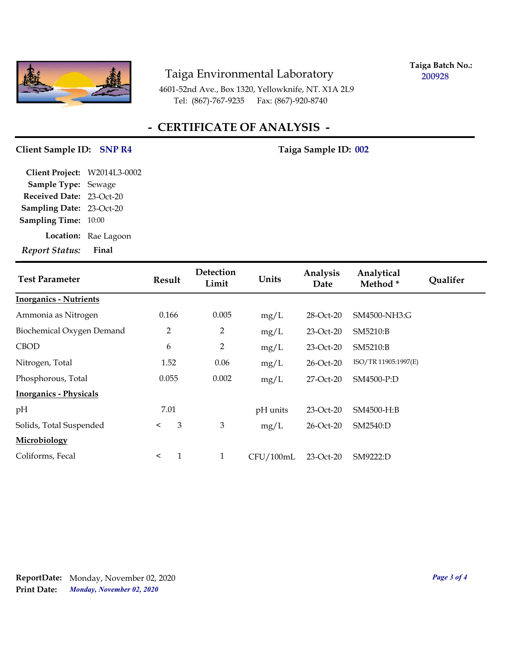

**Taiga Batch No.: 200928**

4601-52nd Ave., Box 1320, Yellowknife, NT. X1A 2L9 Tel: (867)-767-9235 Fax: (867)-920-8740

# **- CERTIFICATE OF ANALYSIS -**

### Client Sample ID: SNP R4 Taiga Sample ID: 002

| <b>Report Status:</b>        | Final                |
|------------------------------|----------------------|
|                              | Location: Rae Lagoon |
| <b>Sampling Time: 10:00</b>  |                      |
| Sampling Date: 23-Oct-20     |                      |
| Received Date: 23-Oct-20     |                      |
| Sample Type: Sewage          |                      |
| Client Project: W2014L3-0002 |                      |

| <b>Test Parameter</b>         | <b>Result</b>  | Detection<br>Limit | Units     | Analysis<br>Date | Analytical<br>Method* | <b>Qualifer</b> |
|-------------------------------|----------------|--------------------|-----------|------------------|-----------------------|-----------------|
| <b>Inorganics - Nutrients</b> |                |                    |           |                  |                       |                 |
| Ammonia as Nitrogen           | 0.166          | 0.005              | mg/L      | 28-Oct-20        | SM4500-NH3:G          |                 |
| Biochemical Oxygen Demand     | $\overline{2}$ | $\overline{2}$     | mg/L      | $23-Oct-20$      | SM5210:B              |                 |
| <b>CBOD</b>                   | 6              | $\overline{2}$     | mg/L      | $23-Oct-20$      | SM5210:B              |                 |
| Nitrogen, Total               | 1.52           | 0.06               | mg/L      | $26$ -Oct- $20$  | ISO/TR 11905:1997(E)  |                 |
| Phosphorous, Total            | 0.055          | 0.002              | mg/L      | 27-Oct-20        | SM4500-P:D            |                 |
| <b>Inorganics - Physicals</b> |                |                    |           |                  |                       |                 |
| pH                            | 7.01           |                    | pH units  | 23-Oct-20        | SM4500-H:B            |                 |
| Solids, Total Suspended       | 3<br>$\prec$   | 3                  | mg/L      | 26-Oct-20        | SM2540:D              |                 |
| Microbiology                  |                |                    |           |                  |                       |                 |
| Coliforms, Fecal              | 1<br>$\prec$   | $\mathbf{1}$       | CFU/100mL | 23-Oct-20        | SM9222:D              |                 |